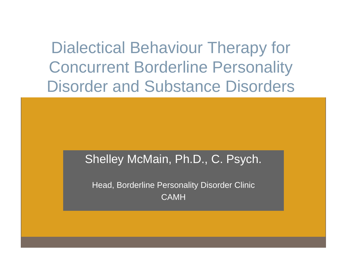Dialectical Behaviour Therapy for Concurrent Borderline Personality Disorder and Substance Disorders

#### Shelley McMain, Ph.D., C. Psych.

Head, Borderline Personality Disorder Clinic CAMH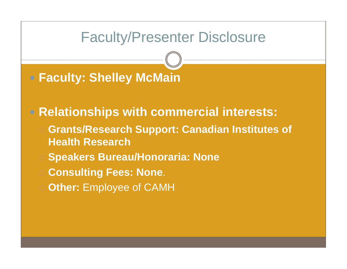## Faculty/Presenter Disclosure

## **Faculty: Shelley McMain**

### **Relationships with commercial interests:**

- **Grants/Research Support: Canadian Institutes of Health Research**
- **Speakers Bureau/Honoraria: None**
- **Consulting Fees: None**.
- **Other: Employee of CAMH**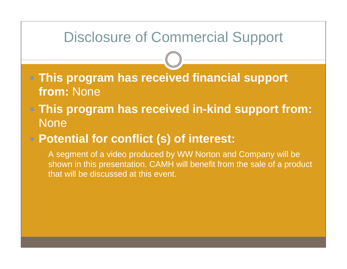## Disclosure of Commercial Support

 **This program has received financial support from:** None

- **This program has received in-kind support from: None** 
	- **Potential for conflict (s) of interest:**

 A segment of a video produced by WW Norton and Company will be shown in this presentation. CAMH will benefit from the sale of a product that will be discussed at this event.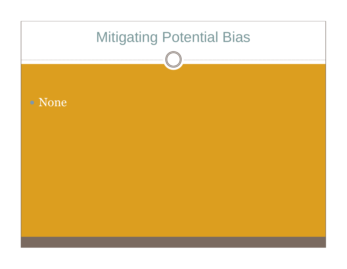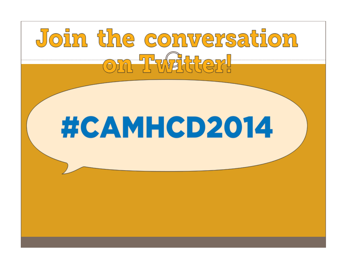# Join the conversation On Twalder!

# #CAMHCD2014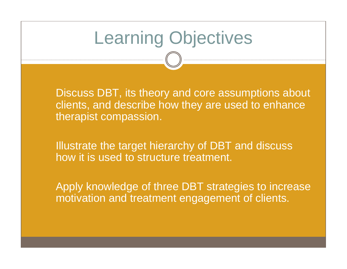## Learning Objectives

 Discuss DBT, its theory and core assumptions about clients, and describe how they are used to enhance therapist compassion.

 Illustrate the target hierarchy of DBT and discuss how it is used to structure treatment.

 Apply knowledge of three DBT strategies to increase motivation and treatment engagement of clients.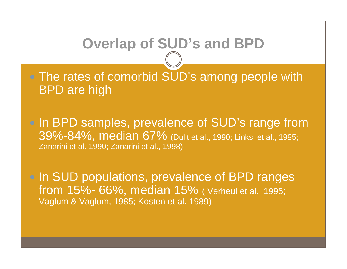## **Overlap of SUD's and BPD**

• The rates of comorbid SUD's among people with BPD are high

• In BPD samples, prevalence of SUD's range from 39%-84%, median 67% (Dulit et al., 1990; Links, et al., 1995; Zanarini et al. 1990; Zanarini et al., 1998)

• In SUD populations, prevalence of BPD ranges from 15%- 66%, median 15% ( Verheul et al. 1995; Vaglum & Vaglum, 1985; Kosten et al. 1989)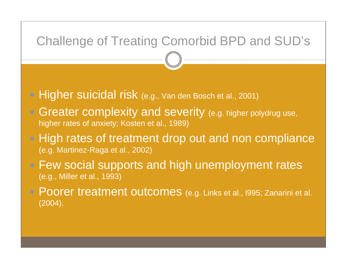### Challenge of Treating Comorbid BPD and SUD's

- **Higher suicidal risk** (e.g., Van den Bosch et al., 2001)
- **Greater complexity and severity (e.g. higher polydrug use,** higher rates of anxiety; Kosten et al., 1989)
- High rates of treatment drop out and non compliance (e.g. Martinez-Raga et al., 2002)
- Few social supports and high unemployment rates (e.g., Miller et al., 1993)
- Poorer treatment outcomes (e.g. Links et al., 1995; Zanarini et al. (2004).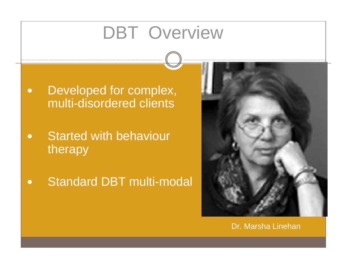## DBT Overview

- $\bullet$  Developed for complex, multi-disordered clients
- $\bullet$  Started with behaviour therapy
- $\bullet$ Standard DBT multi-modal



#### Dr. Marsha Linehan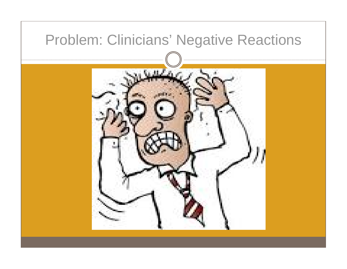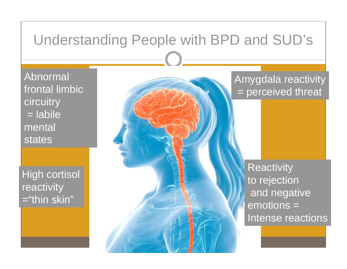## Understanding People with BPD and SUD's

Abnormal frontal limbic circuitry = labile mental states

High cortisol reactivity <sup>=</sup>"thin skin"

#### Amygdala reactivity = perceived threat

**Reactivity** to rejection and negative emotions = Intense reactions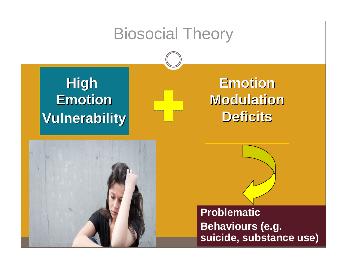# Biosocial Theory **High High EmotionEmotion Emotion Vulnerability Vulnerability Vulnerability EmotionEmotion EmotionModulationModulation ModulationDeficitsDeficits DeficitsProblematic Behaviours (e.g. suicide, substance use)**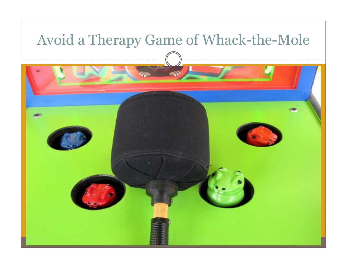## Avoid a Therapy Game of Whack-the-Mole

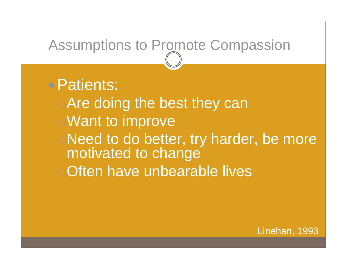## Assumptions to Promote Compassion

## Patients:

Are doing the best they can Want to improve Need to do better, try harder, be more motivated to change Often have unbearable lives

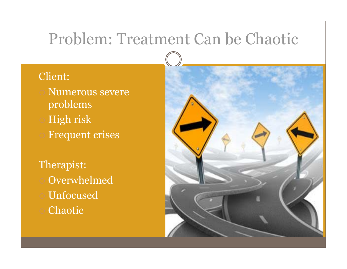## Problem: Treatment Can be Chaotic

#### Client:

- Numerous severe problems High risk
- Frequent crises

Therapist: Overwhelmed Unfocused Chaotic

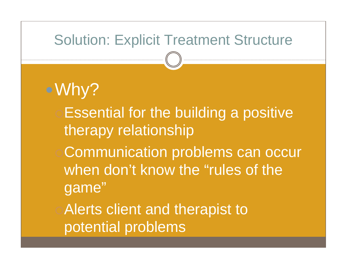## Solution: Explicit Treatment Structure

Why? **Essential for the building a positive** therapy relationship Communication problems can occur when don't know the "rules of the game" **Alerts client and therapist to** potential problems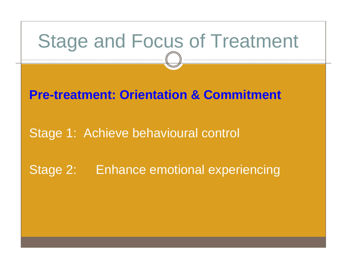## Stage and Focus of Treatment

### **Pre-treatment: Orientation & Commitment**

### Stage 1: Achieve behavioural control

## Stage 2: Enhance emotional experiencing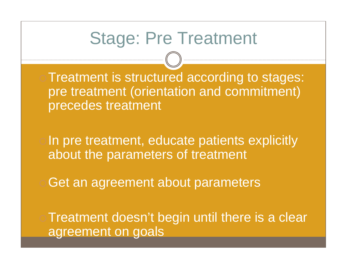## Stage: Pre Treatment

Treatment is structured according to stages: pre treatment (orientation and commitment) precedes treatment

o In pre treatment, educate patients explicitly about the parameters of treatment

Get an agreement about parameters

**Treatment doesn't begin until there is a clear** agreement on goals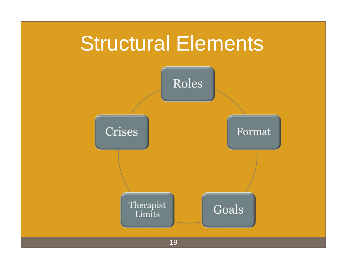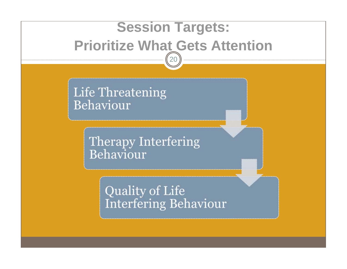## **Session Targets: Prioritize What Gets Attention**20

Life Threatening Behaviour

> **Therapy Interfering** Behaviour

> > **Quality of Life Interfering Behaviour**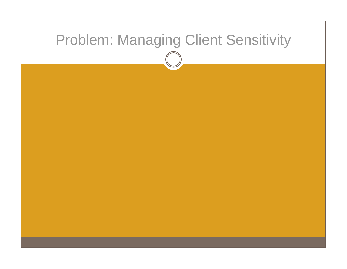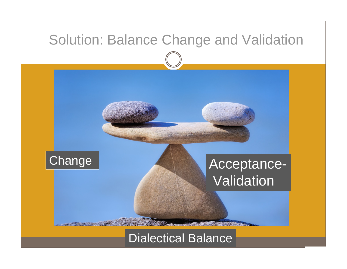

#### Dialectical Balance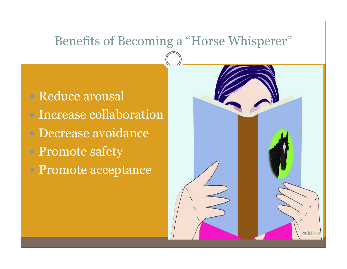### Benefits of Becoming a "Horse Whisperer"

 Reduce arousal • Increase collaboration Decrease avoidance Promote safety • Promote acceptance

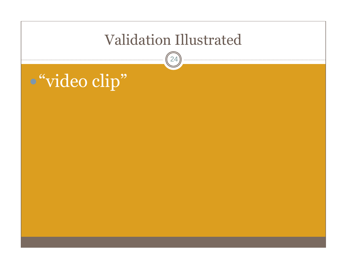## Validation Illustrated

24

## "video clip"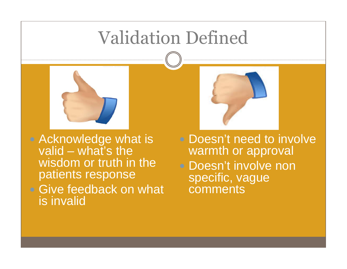## Validation Defined



• Acknowledge what is valid – what's the wisdom or truth in the patients response • Give feedback on what is invalid



• Doesn't need to involve warmth or approval • Doesn't involve non specific, vague comments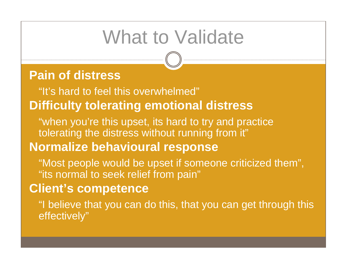## What to Validate

## **Pain of distress**

"It's hard to feel this overwhelmed" **Difficulty tolerating emotional distress**

"when you're this upset, its hard to try and practice tolerating the distress without running from it" **Normalize behavioural response** 

"Most people would be upset if someone criticized them", "its normal to seek relief from pain"

### **Client's competence**

"I believe that you can do this, that you can get through this effectively"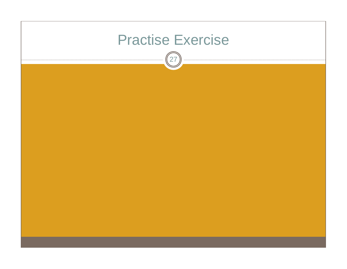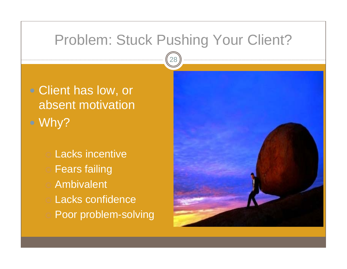## Problem: Stuck Pushing Your Client?

• Client has low, or absent motivation Why?

Lacks incentive

- Fears failing
- Ambivalent
- Lacks confidence
- Poor problem-solving

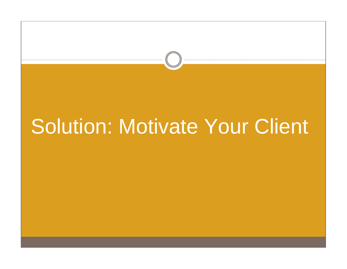# Solution: Motivate Your Client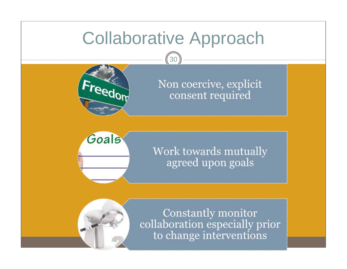## Collaborative Approach

30



Non coercive, explicit consent required



#### Work towards mutually agreed upon goals



Constantly monitor collaboration especially prior to change interventions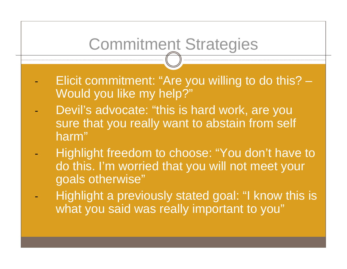## Commitment Strategies

- Elicit commitment: "Are you willing to do this? Would you like my help?"
- Devil's advocate: "this is hard work, are you sure that you really want to abstain from self harm"
- Highlight freedom to choose: "You don't have to do this. I'm worried that you will not meet your goals otherwise"
- Highlight a previously stated goal: "I know this is what you said was really important to you"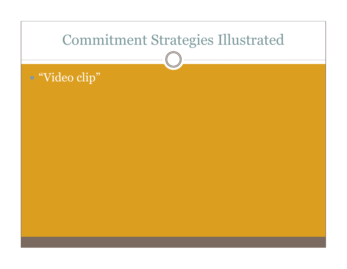## Commitment Strategies Illustrated

## "Video clip"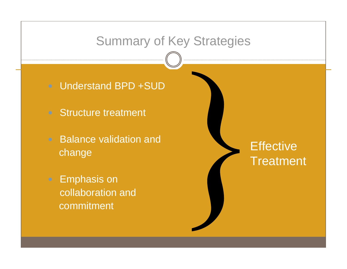### Summary of Key Strategies

• Understand BPD +SUD

- Structure treatment
- Balance validation and change
- Emphasis on collaboration andcommitment

## **Effective Treatment**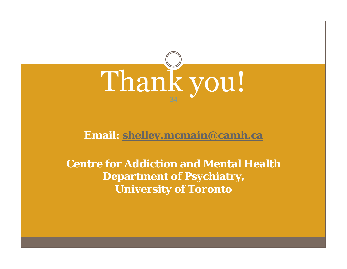

#### **Email: [shelley.mcmain@camh.ca](mailto:shelley.mcmain@camh.ca)**

**Centre for Addiction and Mental Health Department of Psychiatry, University of Toronto**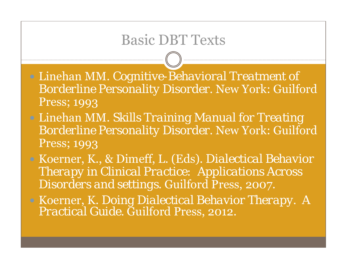## Basic DBT Texts

 Linehan MM. *Cognitive-Behavioral Treatment of Borderline Personality Disorder.* New York: Guilford Press; 1993

- Linehan MM. *Skills Training Manual for Treating Borderline Personality Disorder.* New York: Guilford Press; 1993
- Koerner, K., & Dimeff, L. (Eds). *Dialectical Behavior Therapy in Clinical Practice: Applications Across Disorders and settings*. Guilford Press, 2007.
- Koerner, K. *Doing Dialectical Behavior Therapy. A Practical Guide.* Guilford Press, 2012.